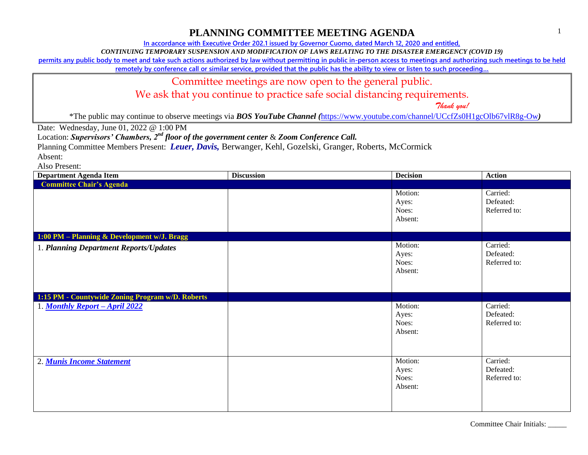**In accordance with Executive Order 202.1 issued by Governor Cuomo, dated March 12, 2020 and entitled,**

*CONTINUING TEMPORARY SUSPENSION AND MODIFICATION OF LAWS RELATING TO THE DISASTER EMERGENCY (COVID 19)*

**permits any public body to meet and take such actions authorized by law without permitting in public in-person access to meetings and authorizing such meetings to be held** 

**remotely by conference call or similar service, provided that the public has the ability to view or listen to such proceeding…**

#### Committee meetings are now open to the general public.

We ask that you continue to practice safe social distancing requirements.

 *Thank you!*

\*The public may continue to observe meetings via *BOS YouTube Channel (*<https://www.youtube.com/channel/UCcfZs0H1gcOlb67vlR8g-Ow>*)*

Date: Wednesday, June 01, 2022 @ 1:00 PM

Location: *Supervisors' Chambers, 2nd floor of the government center* & *Zoom Conference Call.*

Planning Committee Members Present: *Leuer, Davis,* Berwanger, Kehl, Gozelski, Granger, Roberts, McCormick

Absent:

Also Present:

| <b>Department Agenda Item</b>                    | <b>Discussion</b> | <b>Decision</b>                      | <b>Action</b>                         |
|--------------------------------------------------|-------------------|--------------------------------------|---------------------------------------|
| <b>Committee Chair's Agenda</b>                  |                   |                                      |                                       |
|                                                  |                   | Motion:<br>Ayes:<br>Noes:<br>Absent: | Carried:<br>Defeated:<br>Referred to: |
| 1:00 PM - Planning & Development w/J. Bragg      |                   |                                      |                                       |
| 1. Planning Department Reports/Updates           |                   | Motion:<br>Ayes:<br>Noes:<br>Absent: | Carried:<br>Defeated:<br>Referred to: |
| 1:15 PM - Countywide Zoning Program w/D. Roberts |                   |                                      |                                       |
| 1. Monthly Report - April 2022                   |                   | Motion:<br>Ayes:<br>Noes:<br>Absent: | Carried:<br>Defeated:<br>Referred to: |
| 2. Munis Income Statement                        |                   | Motion:<br>Ayes:<br>Noes:<br>Absent: | Carried:<br>Defeated:<br>Referred to: |

Committee Chair Initials: \_\_\_\_\_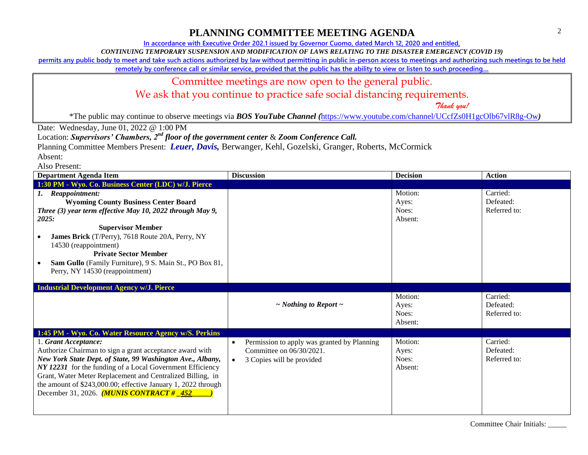**In accordance with Executive Order 202.1 issued by Governor Cuomo, dated March 12, 2020 and entitled,**

*CONTINUING TEMPORARY SUSPENSION AND MODIFICATION OF LAWS RELATING TO THE DISASTER EMERGENCY (COVID 19)*

**permits any public body to meet and take such actions authorized by law without permitting in public in-person access to meetings and authorizing such meetings to be held** 

**remotely by conference call or similar service, provided that the public has the ability to view or listen to such proceeding…**

## Committee meetings are now open to the general public.

We ask that you continue to practice safe social distancing requirements.

 *Thank you!*

\*The public may continue to observe meetings via *BOS YouTube Channel (*<https://www.youtube.com/channel/UCcfZs0H1gcOlb67vlR8g-Ow>*)*

Date: Wednesday, June 01, 2022 @ 1:00 PM

Location: *Supervisors' Chambers, 2nd floor of the government center* & *Zoom Conference Call.*

Planning Committee Members Present: *Leuer, Davis,* Berwanger, Kehl, Gozelski, Granger, Roberts, McCormick

Absent: Also Present:

| <b>Department Agenda Item</b>                                                                                                                                                                                                                                                                                                                                                                    | <b>Discussion</b>                                                                                                 | <b>Decision</b>                      | <b>Action</b>                         |
|--------------------------------------------------------------------------------------------------------------------------------------------------------------------------------------------------------------------------------------------------------------------------------------------------------------------------------------------------------------------------------------------------|-------------------------------------------------------------------------------------------------------------------|--------------------------------------|---------------------------------------|
| 1:30 PM - Wyo. Co. Business Center (LDC) w/J. Pierce                                                                                                                                                                                                                                                                                                                                             |                                                                                                                   |                                      |                                       |
| 1. Reappointment:<br><b>Wyoming County Business Center Board</b><br>Three (3) year term effective May 10, 2022 through May 9,<br>2025:<br><b>Supervisor Member</b><br>James Brick (T/Perry), 7618 Route 20A, Perry, NY<br>14530 (reappointment)<br><b>Private Sector Member</b><br>Sam Gullo (Family Furniture), 9 S. Main St., PO Box 81,<br>Perry, NY 14530 (reappointment)                    |                                                                                                                   | Motion:<br>Ayes:<br>Noes:<br>Absent: | Carried:<br>Defeated:<br>Referred to: |
| <b>Industrial Development Agency w/J. Pierce</b>                                                                                                                                                                                                                                                                                                                                                 |                                                                                                                   |                                      |                                       |
|                                                                                                                                                                                                                                                                                                                                                                                                  | $\sim$ Nothing to Report $\sim$                                                                                   | Motion:<br>Ayes:<br>Noes:<br>Absent: | Carried:<br>Defeated:<br>Referred to: |
| 1:45 PM - Wyo. Co. Water Resource Agency w/S. Perkins                                                                                                                                                                                                                                                                                                                                            |                                                                                                                   |                                      |                                       |
| 1. Grant Acceptance:<br>Authorize Chairman to sign a grant acceptance award with<br>New York State Dept. of State, 99 Washington Ave., Albany,<br>NY 12231 for the funding of a Local Government Efficiency<br>Grant, Water Meter Replacement and Centralized Billing, in<br>the amount of \$243,000.00; effective January 1, 2022 through<br>December 31, 2026. <i>(MUNIS CONTRACT # _452 _</i> | Permission to apply was granted by Planning<br>$\bullet$<br>Committee on 06/30/2021.<br>3 Copies will be provided | Motion:<br>Ayes:<br>Noes:<br>Absent: | Carried:<br>Defeated:<br>Referred to: |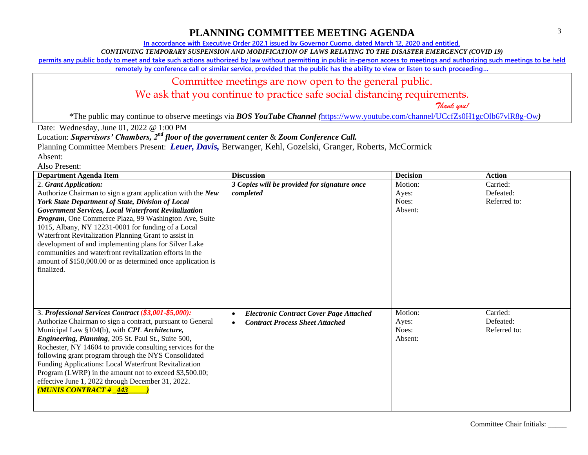**In accordance with Executive Order 202.1 issued by Governor Cuomo, dated March 12, 2020 and entitled,**

*CONTINUING TEMPORARY SUSPENSION AND MODIFICATION OF LAWS RELATING TO THE DISASTER EMERGENCY (COVID 19)*

**permits any public body to meet and take such actions authorized by law without permitting in public in-person access to meetings and authorizing such meetings to be held** 

**remotely by conference call or similar service, provided that the public has the ability to view or listen to such proceeding…**

### Committee meetings are now open to the general public.

We ask that you continue to practice safe social distancing requirements.

 *Thank you!*

\*The public may continue to observe meetings via *BOS YouTube Channel (*<https://www.youtube.com/channel/UCcfZs0H1gcOlb67vlR8g-Ow>*)*

Date: Wednesday, June 01, 2022 @ 1:00 PM

Location: *Supervisors' Chambers, 2nd floor of the government center* & *Zoom Conference Call.*

Planning Committee Members Present: *Leuer, Davis,* Berwanger, Kehl, Gozelski, Granger, Roberts, McCormick

Absent: Also Present:

| <b>Department Agenda Item</b>                                                                                                                                                                                                                                                                                                                                                                                                                                                                                                                                                      | <b>Discussion</b>                                                                                     | <b>Decision</b>                      | <b>Action</b>                         |
|------------------------------------------------------------------------------------------------------------------------------------------------------------------------------------------------------------------------------------------------------------------------------------------------------------------------------------------------------------------------------------------------------------------------------------------------------------------------------------------------------------------------------------------------------------------------------------|-------------------------------------------------------------------------------------------------------|--------------------------------------|---------------------------------------|
| 2. Grant Application:<br>Authorize Chairman to sign a grant application with the New<br>York State Department of State, Division of Local<br><b>Government Services, Local Waterfront Revitalization</b><br>Program, One Commerce Plaza, 99 Washington Ave, Suite<br>1015, Albany, NY 12231-0001 for funding of a Local<br>Waterfront Revitalization Planning Grant to assist in<br>development of and implementing plans for Silver Lake<br>communities and waterfront revitalization efforts in the<br>amount of \$150,000.00 or as determined once application is<br>finalized. | 3 Copies will be provided for signature once<br>completed                                             | Motion:<br>Ayes:<br>Noes:<br>Absent: | Carried:<br>Defeated:<br>Referred to: |
| 3. Professional Services Contract (\$3,001-\$5,000):<br>Authorize Chairman to sign a contract, pursuant to General<br>Municipal Law §104(b), with CPL Architecture,<br>Engineering, Planning, 205 St. Paul St., Suite 500,<br>Rochester, NY 14604 to provide consulting services for the<br>following grant program through the NYS Consolidated<br>Funding Applications: Local Waterfront Revitalization<br>Program (LWRP) in the amount not to exceed \$3,500.00;<br>effective June 1, 2022 through December 31, 2022.<br><b>MUNIS CONTRACT# 443</b>                             | <b>Electronic Contract Cover Page Attached</b><br>$\bullet$<br><b>Contract Process Sheet Attached</b> | Motion:<br>Ayes:<br>Noes:<br>Absent: | Carried:<br>Defeated:<br>Referred to: |

Committee Chair Initials: \_\_\_\_\_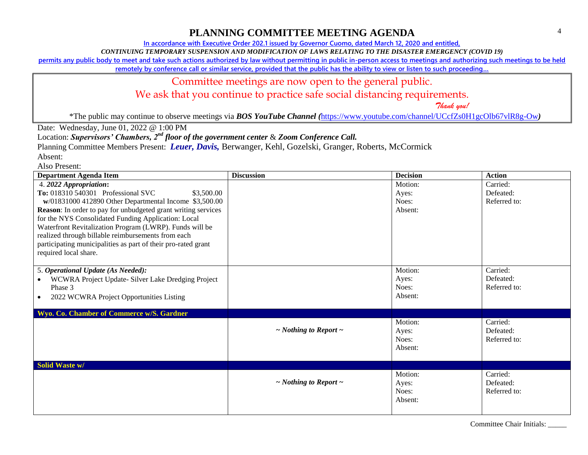**In accordance with Executive Order 202.1 issued by Governor Cuomo, dated March 12, 2020 and entitled,**

*CONTINUING TEMPORARY SUSPENSION AND MODIFICATION OF LAWS RELATING TO THE DISASTER EMERGENCY (COVID 19)*

**permits any public body to meet and take such actions authorized by law without permitting in public in-person access to meetings and authorizing such meetings to be held** 

**remotely by conference call or similar service, provided that the public has the ability to view or listen to such proceeding…**

#### Committee meetings are now open to the general public.

We ask that you continue to practice safe social distancing requirements.

 *Thank you!*

\*The public may continue to observe meetings via *BOS YouTube Channel (*<https://www.youtube.com/channel/UCcfZs0H1gcOlb67vlR8g-Ow>*)*

Date: Wednesday, June 01, 2022 @ 1:00 PM

Location: *Supervisors' Chambers, 2nd floor of the government center* & *Zoom Conference Call.*

Planning Committee Members Present: *Leuer, Davis,* Berwanger, Kehl, Gozelski, Granger, Roberts, McCormick Absent:

Also Present:

| <b>Department Agenda Item</b>                                                                                                                                                                                                                                                                                                                                                                                                                                                  | <b>Discussion</b>               | <b>Decision</b>                      | <b>Action</b>                         |
|--------------------------------------------------------------------------------------------------------------------------------------------------------------------------------------------------------------------------------------------------------------------------------------------------------------------------------------------------------------------------------------------------------------------------------------------------------------------------------|---------------------------------|--------------------------------------|---------------------------------------|
| 4. 2022 Appropriation:<br>To: 018310 540301 Professional SVC<br>\$3,500.00<br>w/01831000 412890 Other Departmental Income \$3,500.00<br><b>Reason:</b> In order to pay for unbudgeted grant writing services<br>for the NYS Consolidated Funding Application: Local<br>Waterfront Revitalization Program (LWRP). Funds will be<br>realized through billable reimbursements from each<br>participating municipalities as part of their pro-rated grant<br>required local share. |                                 | Motion:<br>Ayes:<br>Noes:<br>Absent: | Carried:<br>Defeated:<br>Referred to: |
| 5. Operational Update (As Needed):<br>WCWRA Project Update- Silver Lake Dredging Project<br>$\bullet$<br>Phase 3<br>2022 WCWRA Project Opportunities Listing<br>$\bullet$                                                                                                                                                                                                                                                                                                      |                                 | Motion:<br>Ayes:<br>Noes:<br>Absent: | Carried:<br>Defeated:<br>Referred to: |
| Wyo. Co. Chamber of Commerce w/S. Gardner                                                                                                                                                                                                                                                                                                                                                                                                                                      |                                 |                                      |                                       |
|                                                                                                                                                                                                                                                                                                                                                                                                                                                                                | $\sim$ Nothing to Report $\sim$ | Motion:<br>Ayes:<br>Noes:<br>Absent: | Carried:<br>Defeated:<br>Referred to: |
| Solid Waste w/                                                                                                                                                                                                                                                                                                                                                                                                                                                                 |                                 |                                      |                                       |
|                                                                                                                                                                                                                                                                                                                                                                                                                                                                                | $\sim$ Nothing to Report $\sim$ | Motion:<br>Ayes:<br>Noes:<br>Absent: | Carried:<br>Defeated:<br>Referred to: |

Committee Chair Initials: \_\_\_\_\_